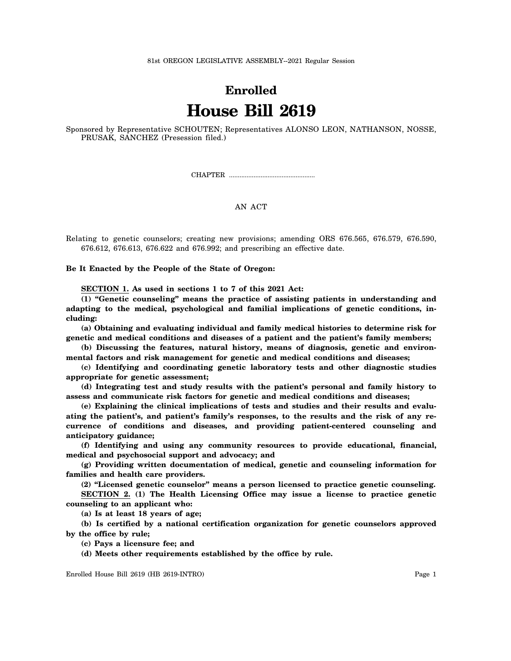81st OREGON LEGISLATIVE ASSEMBLY--2021 Regular Session

## **Enrolled House Bill 2619**

Sponsored by Representative SCHOUTEN; Representatives ALONSO LEON, NATHANSON, NOSSE, PRUSAK, SANCHEZ (Presession filed.)

CHAPTER .................................................

## AN ACT

Relating to genetic counselors; creating new provisions; amending ORS 676.565, 676.579, 676.590, 676.612, 676.613, 676.622 and 676.992; and prescribing an effective date.

**Be It Enacted by the People of the State of Oregon:**

**SECTION 1. As used in sections 1 to 7 of this 2021 Act:**

**(1) "Genetic counseling" means the practice of assisting patients in understanding and adapting to the medical, psychological and familial implications of genetic conditions, including:**

**(a) Obtaining and evaluating individual and family medical histories to determine risk for genetic and medical conditions and diseases of a patient and the patient's family members;**

**(b) Discussing the features, natural history, means of diagnosis, genetic and environmental factors and risk management for genetic and medical conditions and diseases;**

**(c) Identifying and coordinating genetic laboratory tests and other diagnostic studies appropriate for genetic assessment;**

**(d) Integrating test and study results with the patient's personal and family history to assess and communicate risk factors for genetic and medical conditions and diseases;**

**(e) Explaining the clinical implications of tests and studies and their results and evaluating the patient's, and patient's family's responses, to the results and the risk of any recurrence of conditions and diseases, and providing patient-centered counseling and anticipatory guidance;**

**(f) Identifying and using any community resources to provide educational, financial, medical and psychosocial support and advocacy; and**

**(g) Providing written documentation of medical, genetic and counseling information for families and health care providers.**

**(2) "Licensed genetic counselor" means a person licensed to practice genetic counseling.**

**SECTION 2. (1) The Health Licensing Office may issue a license to practice genetic counseling to an applicant who:**

**(a) Is at least 18 years of age;**

**(b) Is certified by a national certification organization for genetic counselors approved by the office by rule;**

**(c) Pays a licensure fee; and**

**(d) Meets other requirements established by the office by rule.**

Enrolled House Bill 2619 (HB 2619-INTRO) Page 1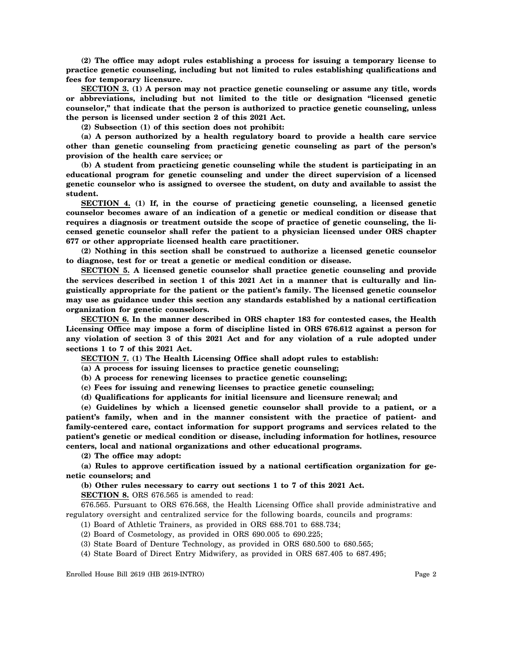**(2) The office may adopt rules establishing a process for issuing a temporary license to practice genetic counseling, including but not limited to rules establishing qualifications and fees for temporary licensure.**

**SECTION 3. (1) A person may not practice genetic counseling or assume any title, words or abbreviations, including but not limited to the title or designation "licensed genetic counselor," that indicate that the person is authorized to practice genetic counseling, unless the person is licensed under section 2 of this 2021 Act.**

**(2) Subsection (1) of this section does not prohibit:**

**(a) A person authorized by a health regulatory board to provide a health care service other than genetic counseling from practicing genetic counseling as part of the person's provision of the health care service; or**

**(b) A student from practicing genetic counseling while the student is participating in an educational program for genetic counseling and under the direct supervision of a licensed genetic counselor who is assigned to oversee the student, on duty and available to assist the student.**

**SECTION 4. (1) If, in the course of practicing genetic counseling, a licensed genetic counselor becomes aware of an indication of a genetic or medical condition or disease that requires a diagnosis or treatment outside the scope of practice of genetic counseling, the licensed genetic counselor shall refer the patient to a physician licensed under ORS chapter 677 or other appropriate licensed health care practitioner.**

**(2) Nothing in this section shall be construed to authorize a licensed genetic counselor to diagnose, test for or treat a genetic or medical condition or disease.**

**SECTION 5. A licensed genetic counselor shall practice genetic counseling and provide the services described in section 1 of this 2021 Act in a manner that is culturally and linguistically appropriate for the patient or the patient's family. The licensed genetic counselor may use as guidance under this section any standards established by a national certification organization for genetic counselors.**

**SECTION 6. In the manner described in ORS chapter 183 for contested cases, the Health Licensing Office may impose a form of discipline listed in ORS 676.612 against a person for any violation of section 3 of this 2021 Act and for any violation of a rule adopted under sections 1 to 7 of this 2021 Act.**

**SECTION 7. (1) The Health Licensing Office shall adopt rules to establish:**

**(a) A process for issuing licenses to practice genetic counseling;**

**(b) A process for renewing licenses to practice genetic counseling;**

**(c) Fees for issuing and renewing licenses to practice genetic counseling;**

**(d) Qualifications for applicants for initial licensure and licensure renewal; and**

**(e) Guidelines by which a licensed genetic counselor shall provide to a patient, or a patient's family, when and in the manner consistent with the practice of patient- and family-centered care, contact information for support programs and services related to the patient's genetic or medical condition or disease, including information for hotlines, resource centers, local and national organizations and other educational programs.**

**(2) The office may adopt:**

**(a) Rules to approve certification issued by a national certification organization for genetic counselors; and**

**(b) Other rules necessary to carry out sections 1 to 7 of this 2021 Act.**

**SECTION 8.** ORS 676.565 is amended to read:

676.565. Pursuant to ORS 676.568, the Health Licensing Office shall provide administrative and regulatory oversight and centralized service for the following boards, councils and programs:

(1) Board of Athletic Trainers, as provided in ORS 688.701 to 688.734;

(2) Board of Cosmetology, as provided in ORS 690.005 to 690.225;

(3) State Board of Denture Technology, as provided in ORS 680.500 to 680.565;

(4) State Board of Direct Entry Midwifery, as provided in ORS 687.405 to 687.495;

Enrolled House Bill 2619 (HB 2619-INTRO) Page 2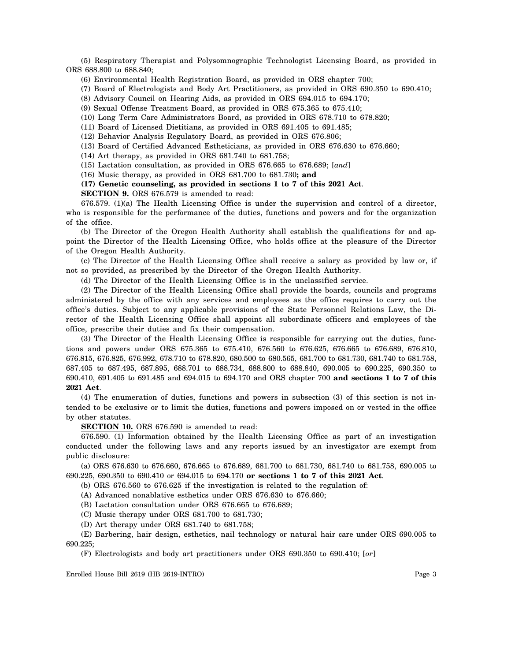(5) Respiratory Therapist and Polysomnographic Technologist Licensing Board, as provided in ORS 688.800 to 688.840;

(6) Environmental Health Registration Board, as provided in ORS chapter 700;

(7) Board of Electrologists and Body Art Practitioners, as provided in ORS 690.350 to 690.410;

(8) Advisory Council on Hearing Aids, as provided in ORS 694.015 to 694.170;

(9) Sexual Offense Treatment Board, as provided in ORS 675.365 to 675.410;

(10) Long Term Care Administrators Board, as provided in ORS 678.710 to 678.820;

(11) Board of Licensed Dietitians, as provided in ORS 691.405 to 691.485;

(12) Behavior Analysis Regulatory Board, as provided in ORS 676.806;

(13) Board of Certified Advanced Estheticians, as provided in ORS 676.630 to 676.660;

(14) Art therapy, as provided in ORS 681.740 to 681.758;

(15) Lactation consultation, as provided in ORS 676.665 to 676.689; [*and*]

(16) Music therapy, as provided in ORS 681.700 to 681.730**; and**

**(17) Genetic counseling, as provided in sections 1 to 7 of this 2021 Act**.

**SECTION 9.** ORS 676.579 is amended to read:

676.579. (1)(a) The Health Licensing Office is under the supervision and control of a director, who is responsible for the performance of the duties, functions and powers and for the organization of the office.

(b) The Director of the Oregon Health Authority shall establish the qualifications for and appoint the Director of the Health Licensing Office, who holds office at the pleasure of the Director of the Oregon Health Authority.

(c) The Director of the Health Licensing Office shall receive a salary as provided by law or, if not so provided, as prescribed by the Director of the Oregon Health Authority.

(d) The Director of the Health Licensing Office is in the unclassified service.

(2) The Director of the Health Licensing Office shall provide the boards, councils and programs administered by the office with any services and employees as the office requires to carry out the office's duties. Subject to any applicable provisions of the State Personnel Relations Law, the Director of the Health Licensing Office shall appoint all subordinate officers and employees of the office, prescribe their duties and fix their compensation.

(3) The Director of the Health Licensing Office is responsible for carrying out the duties, functions and powers under ORS 675.365 to 675.410, 676.560 to 676.625, 676.665 to 676.689, 676.810, 676.815, 676.825, 676.992, 678.710 to 678.820, 680.500 to 680.565, 681.700 to 681.730, 681.740 to 681.758, 687.405 to 687.495, 687.895, 688.701 to 688.734, 688.800 to 688.840, 690.005 to 690.225, 690.350 to 690.410, 691.405 to 691.485 and 694.015 to 694.170 and ORS chapter 700 **and sections 1 to 7 of this 2021 Act**.

(4) The enumeration of duties, functions and powers in subsection (3) of this section is not intended to be exclusive or to limit the duties, functions and powers imposed on or vested in the office by other statutes.

**SECTION 10.** ORS 676.590 is amended to read:

676.590. (1) Information obtained by the Health Licensing Office as part of an investigation conducted under the following laws and any reports issued by an investigator are exempt from public disclosure:

(a) ORS 676.630 to 676.660, 676.665 to 676.689, 681.700 to 681.730, 681.740 to 681.758, 690.005 to 690.225, 690.350 to 690.410 or 694.015 to 694.170 **or sections 1 to 7 of this 2021 Act**.

(b) ORS 676.560 to 676.625 if the investigation is related to the regulation of:

(A) Advanced nonablative esthetics under ORS 676.630 to 676.660;

(B) Lactation consultation under ORS 676.665 to 676.689;

(C) Music therapy under ORS 681.700 to 681.730;

(D) Art therapy under ORS 681.740 to 681.758;

(E) Barbering, hair design, esthetics, nail technology or natural hair care under ORS 690.005 to 690.225;

(F) Electrologists and body art practitioners under ORS 690.350 to 690.410; [*or*]

Enrolled House Bill 2619 (HB 2619-INTRO) Page 3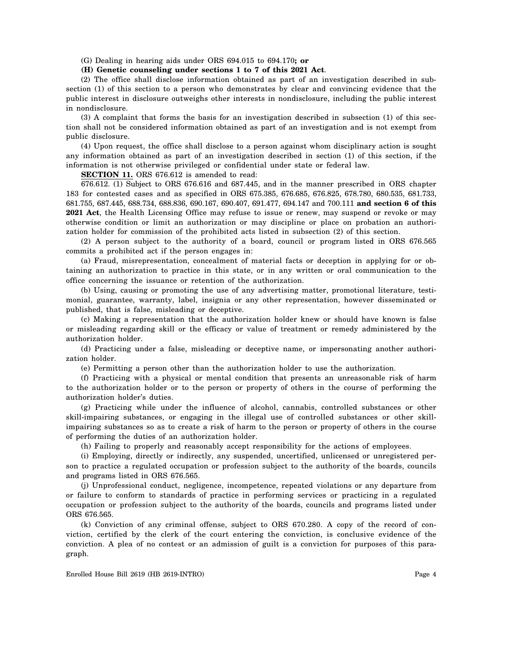(G) Dealing in hearing aids under ORS 694.015 to 694.170**; or**

**(H) Genetic counseling under sections 1 to 7 of this 2021 Act**.

(2) The office shall disclose information obtained as part of an investigation described in subsection (1) of this section to a person who demonstrates by clear and convincing evidence that the public interest in disclosure outweighs other interests in nondisclosure, including the public interest in nondisclosure.

(3) A complaint that forms the basis for an investigation described in subsection (1) of this section shall not be considered information obtained as part of an investigation and is not exempt from public disclosure.

(4) Upon request, the office shall disclose to a person against whom disciplinary action is sought any information obtained as part of an investigation described in section (1) of this section, if the information is not otherwise privileged or confidential under state or federal law.

**SECTION 11.** ORS 676.612 is amended to read:

676.612. (1) Subject to ORS 676.616 and 687.445, and in the manner prescribed in ORS chapter 183 for contested cases and as specified in ORS 675.385, 676.685, 676.825, 678.780, 680.535, 681.733, 681.755, 687.445, 688.734, 688.836, 690.167, 690.407, 691.477, 694.147 and 700.111 **and section 6 of this 2021 Act**, the Health Licensing Office may refuse to issue or renew, may suspend or revoke or may otherwise condition or limit an authorization or may discipline or place on probation an authorization holder for commission of the prohibited acts listed in subsection (2) of this section.

(2) A person subject to the authority of a board, council or program listed in ORS 676.565 commits a prohibited act if the person engages in:

(a) Fraud, misrepresentation, concealment of material facts or deception in applying for or obtaining an authorization to practice in this state, or in any written or oral communication to the office concerning the issuance or retention of the authorization.

(b) Using, causing or promoting the use of any advertising matter, promotional literature, testimonial, guarantee, warranty, label, insignia or any other representation, however disseminated or published, that is false, misleading or deceptive.

(c) Making a representation that the authorization holder knew or should have known is false or misleading regarding skill or the efficacy or value of treatment or remedy administered by the authorization holder.

(d) Practicing under a false, misleading or deceptive name, or impersonating another authorization holder.

(e) Permitting a person other than the authorization holder to use the authorization.

(f) Practicing with a physical or mental condition that presents an unreasonable risk of harm to the authorization holder or to the person or property of others in the course of performing the authorization holder's duties.

(g) Practicing while under the influence of alcohol, cannabis, controlled substances or other skill-impairing substances, or engaging in the illegal use of controlled substances or other skillimpairing substances so as to create a risk of harm to the person or property of others in the course of performing the duties of an authorization holder.

(h) Failing to properly and reasonably accept responsibility for the actions of employees.

(i) Employing, directly or indirectly, any suspended, uncertified, unlicensed or unregistered person to practice a regulated occupation or profession subject to the authority of the boards, councils and programs listed in ORS 676.565.

(j) Unprofessional conduct, negligence, incompetence, repeated violations or any departure from or failure to conform to standards of practice in performing services or practicing in a regulated occupation or profession subject to the authority of the boards, councils and programs listed under ORS 676.565.

(k) Conviction of any criminal offense, subject to ORS 670.280. A copy of the record of conviction, certified by the clerk of the court entering the conviction, is conclusive evidence of the conviction. A plea of no contest or an admission of guilt is a conviction for purposes of this paragraph.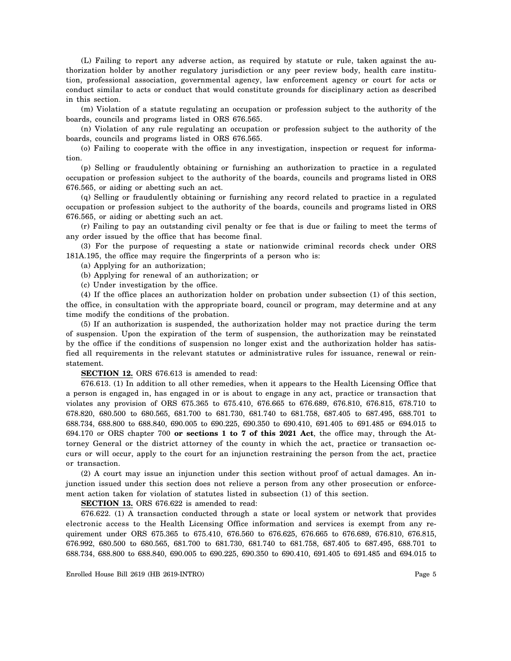(L) Failing to report any adverse action, as required by statute or rule, taken against the authorization holder by another regulatory jurisdiction or any peer review body, health care institution, professional association, governmental agency, law enforcement agency or court for acts or conduct similar to acts or conduct that would constitute grounds for disciplinary action as described in this section.

(m) Violation of a statute regulating an occupation or profession subject to the authority of the boards, councils and programs listed in ORS 676.565.

(n) Violation of any rule regulating an occupation or profession subject to the authority of the boards, councils and programs listed in ORS 676.565.

(o) Failing to cooperate with the office in any investigation, inspection or request for information.

(p) Selling or fraudulently obtaining or furnishing an authorization to practice in a regulated occupation or profession subject to the authority of the boards, councils and programs listed in ORS 676.565, or aiding or abetting such an act.

(q) Selling or fraudulently obtaining or furnishing any record related to practice in a regulated occupation or profession subject to the authority of the boards, councils and programs listed in ORS 676.565, or aiding or abetting such an act.

(r) Failing to pay an outstanding civil penalty or fee that is due or failing to meet the terms of any order issued by the office that has become final.

(3) For the purpose of requesting a state or nationwide criminal records check under ORS 181A.195, the office may require the fingerprints of a person who is:

(a) Applying for an authorization;

(b) Applying for renewal of an authorization; or

(c) Under investigation by the office.

(4) If the office places an authorization holder on probation under subsection (1) of this section, the office, in consultation with the appropriate board, council or program, may determine and at any time modify the conditions of the probation.

(5) If an authorization is suspended, the authorization holder may not practice during the term of suspension. Upon the expiration of the term of suspension, the authorization may be reinstated by the office if the conditions of suspension no longer exist and the authorization holder has satisfied all requirements in the relevant statutes or administrative rules for issuance, renewal or reinstatement.

## **SECTION 12.** ORS 676.613 is amended to read:

676.613. (1) In addition to all other remedies, when it appears to the Health Licensing Office that a person is engaged in, has engaged in or is about to engage in any act, practice or transaction that violates any provision of ORS 675.365 to 675.410, 676.665 to 676.689, 676.810, 676.815, 678.710 to 678.820, 680.500 to 680.565, 681.700 to 681.730, 681.740 to 681.758, 687.405 to 687.495, 688.701 to 688.734, 688.800 to 688.840, 690.005 to 690.225, 690.350 to 690.410, 691.405 to 691.485 or 694.015 to 694.170 or ORS chapter 700 **or sections 1 to 7 of this 2021 Act**, the office may, through the Attorney General or the district attorney of the county in which the act, practice or transaction occurs or will occur, apply to the court for an injunction restraining the person from the act, practice or transaction.

(2) A court may issue an injunction under this section without proof of actual damages. An injunction issued under this section does not relieve a person from any other prosecution or enforcement action taken for violation of statutes listed in subsection (1) of this section.

**SECTION 13.** ORS 676.622 is amended to read:

676.622. (1) A transaction conducted through a state or local system or network that provides electronic access to the Health Licensing Office information and services is exempt from any requirement under ORS 675.365 to 675.410, 676.560 to 676.625, 676.665 to 676.689, 676.810, 676.815, 676.992, 680.500 to 680.565, 681.700 to 681.730, 681.740 to 681.758, 687.405 to 687.495, 688.701 to 688.734, 688.800 to 688.840, 690.005 to 690.225, 690.350 to 690.410, 691.405 to 691.485 and 694.015 to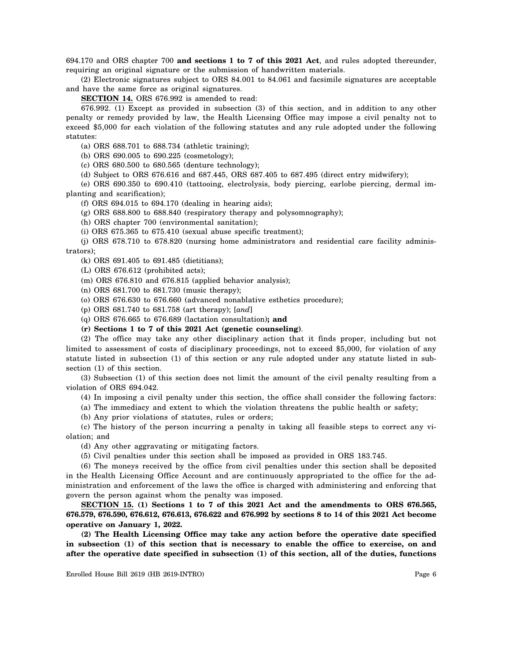694.170 and ORS chapter 700 **and sections 1 to 7 of this 2021 Act**, and rules adopted thereunder, requiring an original signature or the submission of handwritten materials.

(2) Electronic signatures subject to ORS 84.001 to 84.061 and facsimile signatures are acceptable and have the same force as original signatures.

**SECTION 14.** ORS 676.992 is amended to read:

676.992. (1) Except as provided in subsection (3) of this section, and in addition to any other penalty or remedy provided by law, the Health Licensing Office may impose a civil penalty not to exceed \$5,000 for each violation of the following statutes and any rule adopted under the following statutes:

(a) ORS 688.701 to 688.734 (athletic training);

(b) ORS 690.005 to 690.225 (cosmetology);

(c) ORS 680.500 to 680.565 (denture technology);

(d) Subject to ORS 676.616 and 687.445, ORS 687.405 to 687.495 (direct entry midwifery);

(e) ORS 690.350 to 690.410 (tattooing, electrolysis, body piercing, earlobe piercing, dermal implanting and scarification);

(f) ORS 694.015 to 694.170 (dealing in hearing aids);

(g) ORS 688.800 to 688.840 (respiratory therapy and polysomnography);

(h) ORS chapter 700 (environmental sanitation);

(i) ORS 675.365 to 675.410 (sexual abuse specific treatment);

(j) ORS 678.710 to 678.820 (nursing home administrators and residential care facility administrators);

(k) ORS 691.405 to 691.485 (dietitians);

(L) ORS 676.612 (prohibited acts);

(m) ORS 676.810 and 676.815 (applied behavior analysis);

(n) ORS 681.700 to 681.730 (music therapy);

(o) ORS 676.630 to 676.660 (advanced nonablative esthetics procedure);

(p) ORS 681.740 to 681.758 (art therapy); [*and*]

(q) ORS 676.665 to 676.689 (lactation consultation)**; and**

**(r) Sections 1 to 7 of this 2021 Act (genetic counseling)**.

(2) The office may take any other disciplinary action that it finds proper, including but not limited to assessment of costs of disciplinary proceedings, not to exceed \$5,000, for violation of any statute listed in subsection (1) of this section or any rule adopted under any statute listed in subsection (1) of this section.

(3) Subsection (1) of this section does not limit the amount of the civil penalty resulting from a violation of ORS 694.042.

(4) In imposing a civil penalty under this section, the office shall consider the following factors:

(a) The immediacy and extent to which the violation threatens the public health or safety;

(b) Any prior violations of statutes, rules or orders;

(c) The history of the person incurring a penalty in taking all feasible steps to correct any violation; and

(d) Any other aggravating or mitigating factors.

(5) Civil penalties under this section shall be imposed as provided in ORS 183.745.

(6) The moneys received by the office from civil penalties under this section shall be deposited in the Health Licensing Office Account and are continuously appropriated to the office for the administration and enforcement of the laws the office is charged with administering and enforcing that govern the person against whom the penalty was imposed.

**SECTION 15. (1) Sections 1 to 7 of this 2021 Act and the amendments to ORS 676.565, 676.579, 676.590, 676.612, 676.613, 676.622 and 676.992 by sections 8 to 14 of this 2021 Act become operative on January 1, 2022.**

**(2) The Health Licensing Office may take any action before the operative date specified in subsection (1) of this section that is necessary to enable the office to exercise, on and after the operative date specified in subsection (1) of this section, all of the duties, functions**